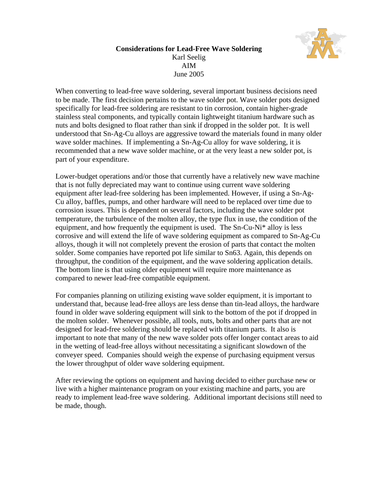

## **Considerations for Lead-Free Wave Soldering**  Karl Seelig AIM June 2005

When converting to lead-free wave soldering, several important business decisions need to be made. The first decision pertains to the wave solder pot. Wave solder pots designed specifically for lead-free soldering are resistant to tin corrosion, contain higher-grade stainless steal components, and typically contain lightweight titanium hardware such as nuts and bolts designed to float rather than sink if dropped in the solder pot. It is well understood that Sn-Ag-Cu alloys are aggressive toward the materials found in many older wave solder machines. If implementing a Sn-Ag-Cu alloy for wave soldering, it is recommended that a new wave solder machine, or at the very least a new solder pot, is part of your expenditure.

Lower-budget operations and/or those that currently have a relatively new wave machine that is not fully depreciated may want to continue using current wave soldering equipment after lead-free soldering has been implemented. However, if using a Sn-Ag-Cu alloy, baffles, pumps, and other hardware will need to be replaced over time due to corrosion issues. This is dependent on several factors, including the wave solder pot temperature, the turbulence of the molten alloy, the type flux in use, the condition of the equipment, and how frequently the equipment is used. The Sn-Cu-Ni\* alloy is less corrosive and will extend the life of wave soldering equipment as compared to Sn-Ag-Cu alloys, though it will not completely prevent the erosion of parts that contact the molten solder. Some companies have reported pot life similar to Sn63. Again, this depends on throughput, the condition of the equipment, and the wave soldering application details. The bottom line is that using older equipment will require more maintenance as compared to newer lead-free compatible equipment.

For companies planning on utilizing existing wave solder equipment, it is important to understand that, because lead-free alloys are less dense than tin-lead alloys, the hardware found in older wave soldering equipment will sink to the bottom of the pot if dropped in the molten solder. Whenever possible, all tools, nuts, bolts and other parts that are not designed for lead-free soldering should be replaced with titanium parts. It also is important to note that many of the new wave solder pots offer longer contact areas to aid in the wetting of lead-free alloys without necessitating a significant slowdown of the conveyer speed. Companies should weigh the expense of purchasing equipment versus the lower throughput of older wave soldering equipment.

After reviewing the options on equipment and having decided to either purchase new or live with a higher maintenance program on your existing machine and parts, you are ready to implement lead-free wave soldering. Additional important decisions still need to be made, though.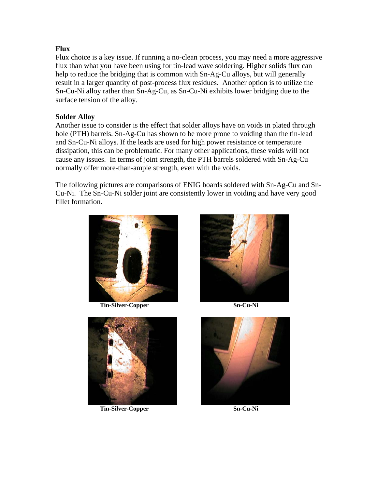# **Flux**

Flux choice is a key issue. If running a no-clean process, you may need a more aggressive flux than what you have been using for tin-lead wave soldering. Higher solids flux can help to reduce the bridging that is common with Sn-Ag-Cu alloys, but will generally result in a larger quantity of post-process flux residues. Another option is to utilize the Sn-Cu-Ni alloy rather than Sn-Ag-Cu, as Sn-Cu-Ni exhibits lower bridging due to the surface tension of the alloy.

## **Solder Alloy**

Another issue to consider is the effect that solder alloys have on voids in plated through hole (PTH) barrels. Sn-Ag-Cu has shown to be more prone to voiding than the tin-lead and Sn-Cu-Ni alloys. If the leads are used for high power resistance or temperature dissipation, this can be problematic. For many other applications, these voids will not cause any issues. In terms of joint strength, the PTH barrels soldered with Sn-Ag-Cu normally offer more-than-ample strength, even with the voids.

The following pictures are comparisons of ENIG boards soldered with Sn-Ag-Cu and Sn-Cu-Ni. The Sn-Cu-Ni solder joint are consistently lower in voiding and have very good fillet formation.



**Tin-Silver-Copper Sn-Cu-Ni** 



**Tin-Silver-Copper Sn-Cu-Ni** 



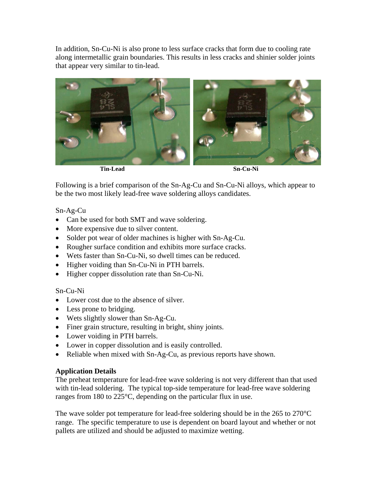In addition, Sn-Cu-Ni is also prone to less surface cracks that form due to cooling rate along intermetallic grain boundaries. This results in less cracks and shinier solder joints that appear very similar to tin-lead.



Following is a brief comparison of the Sn-Ag-Cu and Sn-Cu-Ni alloys, which appear to be the two most likely lead-free wave soldering alloys candidates.

Sn-Ag-Cu

- Can be used for both SMT and wave soldering.
- More expensive due to silver content.
- Solder pot wear of older machines is higher with Sn-Ag-Cu.
- Rougher surface condition and exhibits more surface cracks.
- Wets faster than Sn-Cu-Ni, so dwell times can be reduced.
- Higher voiding than Sn-Cu-Ni in PTH barrels.
- Higher copper dissolution rate than Sn-Cu-Ni.

Sn-Cu-Ni

- Lower cost due to the absence of silver.
- Less prone to bridging.
- Wets slightly slower than Sn-Ag-Cu.
- Finer grain structure, resulting in bright, shiny joints.
- Lower voiding in PTH barrels.
- Lower in copper dissolution and is easily controlled.
- Reliable when mixed with Sn-Ag-Cu, as previous reports have shown.

## **Application Details**

The preheat temperature for lead-free wave soldering is not very different than that used with tin-lead soldering. The typical top-side temperature for lead-free wave soldering ranges from 180 to 225°C, depending on the particular flux in use.

The wave solder pot temperature for lead-free soldering should be in the 265 to 270°C range. The specific temperature to use is dependent on board layout and whether or not pallets are utilized and should be adjusted to maximize wetting.